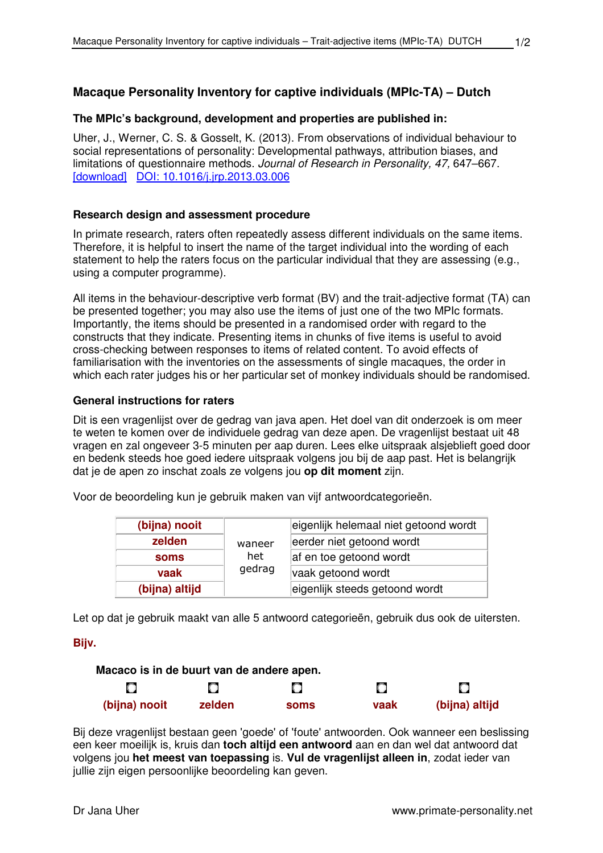# **Macaque Personality Inventory for captive individuals (MPIc-TA) – Dutch**

### **The MPIc's background, development and properties are published in:**

Uher, J., Werner, C. S. & Gosselt, K. (2013). From observations of individual behaviour to social representations of personality: Developmental pathways, attribution biases, and limitations of questionnaire methods. Journal of Research in Personality, 47, 647–667. [download] DOI: 10.1016/j.jrp.2013.03.006

#### **Research design and assessment procedure**

In primate research, raters often repeatedly assess different individuals on the same items. Therefore, it is helpful to insert the name of the target individual into the wording of each statement to help the raters focus on the particular individual that they are assessing (e.g., using a computer programme).

All items in the behaviour-descriptive verb format (BV) and the trait-adjective format (TA) can be presented together; you may also use the items of just one of the two MPIc formats. Importantly, the items should be presented in a randomised order with regard to the constructs that they indicate. Presenting items in chunks of five items is useful to avoid cross-checking between responses to items of related content. To avoid effects of familiarisation with the inventories on the assessments of single macaques, the order in which each rater judges his or her particular set of monkey individuals should be randomised.

#### **General instructions for raters**

Dit is een vragenlijst over de gedrag van java apen. Het doel van dit onderzoek is om meer te weten te komen over de individuele gedrag van deze apen. De vragenlijst bestaat uit 48 vragen en zal ongeveer 3-5 minuten per aap duren. Lees elke uitspraak alsjeblieft goed door en bedenk steeds hoe goed iedere uitspraak volgens jou bij de aap past. Het is belangrijk dat je de apen zo inschat zoals ze volgens jou **op dit moment** zijn.

Voor de beoordeling kun je gebruik maken van vijf antwoordcategorieën.

| (bijna) nooit  |        | eigenlijk helemaal niet getoond wordt |  |
|----------------|--------|---------------------------------------|--|
| zelden         | waneer | eerder niet getoond wordt             |  |
| soms           | het    | af en toe getoond wordt               |  |
| vaak           | gedrag | vaak getoond wordt                    |  |
| (bijna) altijd |        | eigenlijk steeds getoond wordt        |  |

Let op dat je gebruik maakt van alle 5 antwoord categorieën, gebruik dus ook de uitersten.

## **Bijv.**

| Macaco is in de buurt van de andere apen. |        |      |      |                |
|-------------------------------------------|--------|------|------|----------------|
|                                           |        | О    |      |                |
| (bijna) nooit                             | zelden | soms | vaak | (bijna) altijd |

Bij deze vragenlijst bestaan geen 'goede' of 'foute' antwoorden. Ook wanneer een beslissing een keer moeilijk is, kruis dan **toch altijd een antwoord** aan en dan wel dat antwoord dat volgens jou **het meest van toepassing** is. **Vul de vragenlijst alleen in**, zodat ieder van jullie zijn eigen persoonlijke beoordeling kan geven.